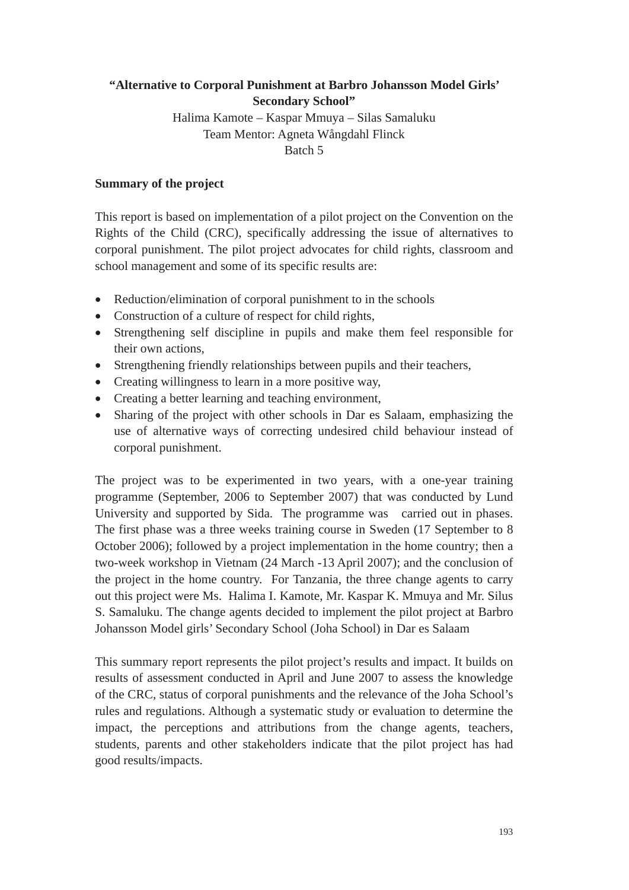# **"Alternative to Corporal Punishment at Barbro Johansson Model Girls' Secondary School"**

Halima Kamote – Kaspar Mmuya – Silas Samaluku Team Mentor: Agneta Wångdahl Flinck Batch 5

### **Summary of the project**

This report is based on implementation of a pilot project on the Convention on the Rights of the Child (CRC), specifically addressing the issue of alternatives to corporal punishment. The pilot project advocates for child rights, classroom and school management and some of its specific results are:

- $\bullet$  Reduction/elimination of corporal punishment to in the schools
- Construction of a culture of respect for child rights,
- Strengthening self discipline in pupils and make them feel responsible for their own actions,
- Strengthening friendly relationships between pupils and their teachers,
- $\bullet$  Creating willingness to learn in a more positive way,
- Creating a better learning and teaching environment,
- Sharing of the project with other schools in Dar es Salaam, emphasizing the use of alternative ways of correcting undesired child behaviour instead of corporal punishment.

The project was to be experimented in two years, with a one-year training programme (September, 2006 to September 2007) that was conducted by Lund University and supported by Sida. The programme was carried out in phases. The first phase was a three weeks training course in Sweden (17 September to 8 October 2006); followed by a project implementation in the home country; then a two-week workshop in Vietnam (24 March -13 April 2007); and the conclusion of the project in the home country. For Tanzania, the three change agents to carry out this project were Ms. Halima I. Kamote, Mr. Kaspar K. Mmuya and Mr. Silus S. Samaluku. The change agents decided to implement the pilot project at Barbro Johansson Model girls' Secondary School (Joha School) in Dar es Salaam

This summary report represents the pilot project's results and impact. It builds on results of assessment conducted in April and June 2007 to assess the knowledge of the CRC, status of corporal punishments and the relevance of the Joha School's rules and regulations. Although a systematic study or evaluation to determine the impact, the perceptions and attributions from the change agents, teachers, students, parents and other stakeholders indicate that the pilot project has had good results/impacts.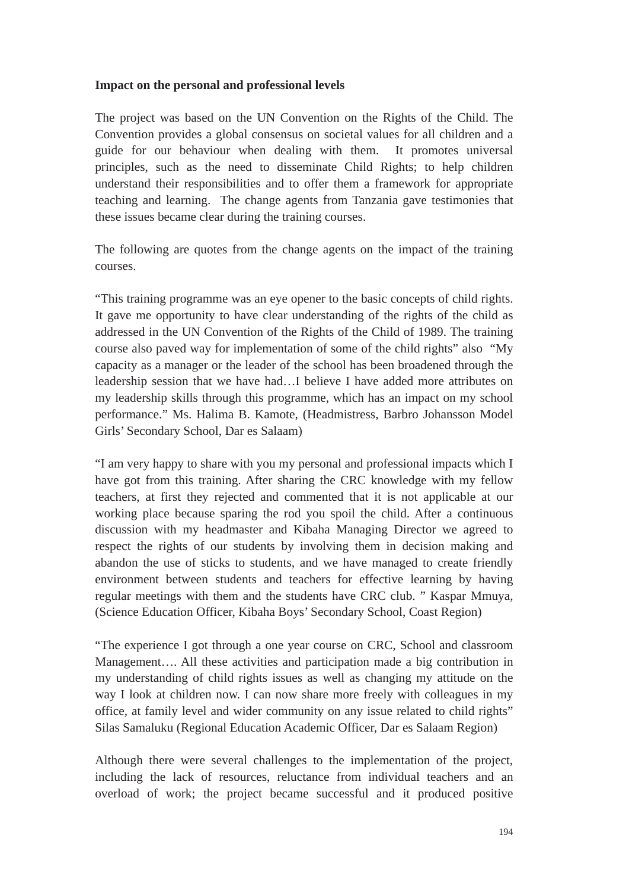#### **Impact on the personal and professional levels**

The project was based on the UN Convention on the Rights of the Child. The Convention provides a global consensus on societal values for all children and a guide for our behaviour when dealing with them. It promotes universal principles, such as the need to disseminate Child Rights; to help children understand their responsibilities and to offer them a framework for appropriate teaching and learning. The change agents from Tanzania gave testimonies that these issues became clear during the training courses.

The following are quotes from the change agents on the impact of the training courses.

"This training programme was an eye opener to the basic concepts of child rights. It gave me opportunity to have clear understanding of the rights of the child as addressed in the UN Convention of the Rights of the Child of 1989. The training course also paved way for implementation of some of the child rights" also "My capacity as a manager or the leader of the school has been broadened through the leadership session that we have had…I believe I have added more attributes on my leadership skills through this programme, which has an impact on my school performance." Ms. Halima B. Kamote, (Headmistress, Barbro Johansson Model Girls' Secondary School, Dar es Salaam)

"I am very happy to share with you my personal and professional impacts which I have got from this training. After sharing the CRC knowledge with my fellow teachers, at first they rejected and commented that it is not applicable at our working place because sparing the rod you spoil the child. After a continuous discussion with my headmaster and Kibaha Managing Director we agreed to respect the rights of our students by involving them in decision making and abandon the use of sticks to students, and we have managed to create friendly environment between students and teachers for effective learning by having regular meetings with them and the students have CRC club. " Kaspar Mmuya, (Science Education Officer, Kibaha Boys' Secondary School, Coast Region)

"The experience I got through a one year course on CRC, School and classroom Management…. All these activities and participation made a big contribution in my understanding of child rights issues as well as changing my attitude on the way I look at children now. I can now share more freely with colleagues in my office, at family level and wider community on any issue related to child rights" Silas Samaluku (Regional Education Academic Officer, Dar es Salaam Region)

Although there were several challenges to the implementation of the project, including the lack of resources, reluctance from individual teachers and an overload of work; the project became successful and it produced positive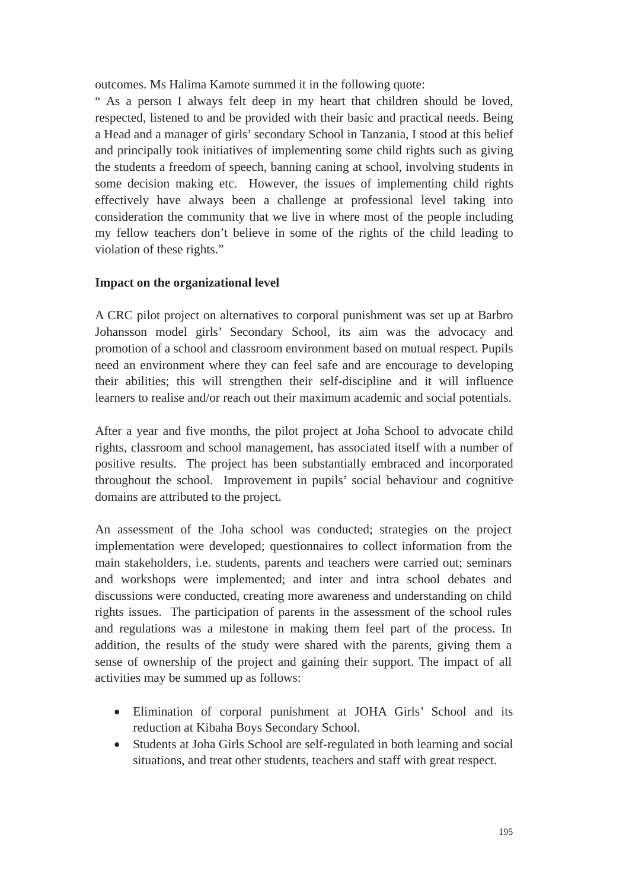outcomes. Ms Halima Kamote summed it in the following quote:

" As a person I always felt deep in my heart that children should be loved, respected, listened to and be provided with their basic and practical needs. Being a Head and a manager of girls' secondary School in Tanzania, I stood at this belief and principally took initiatives of implementing some child rights such as giving the students a freedom of speech, banning caning at school, involving students in some decision making etc. However, the issues of implementing child rights effectively have always been a challenge at professional level taking into consideration the community that we live in where most of the people including my fellow teachers don't believe in some of the rights of the child leading to violation of these rights."

## **Impact on the organizational level**

A CRC pilot project on alternatives to corporal punishment was set up at Barbro Johansson model girls' Secondary School, its aim was the advocacy and promotion of a school and classroom environment based on mutual respect. Pupils need an environment where they can feel safe and are encourage to developing their abilities; this will strengthen their self-discipline and it will influence learners to realise and/or reach out their maximum academic and social potentials.

After a year and five months, the pilot project at Joha School to advocate child rights, classroom and school management, has associated itself with a number of positive results. The project has been substantially embraced and incorporated throughout the school. Improvement in pupils' social behaviour and cognitive domains are attributed to the project.

An assessment of the Joha school was conducted; strategies on the project implementation were developed; questionnaires to collect information from the main stakeholders, i.e. students, parents and teachers were carried out; seminars and workshops were implemented; and inter and intra school debates and discussions were conducted, creating more awareness and understanding on child rights issues. The participation of parents in the assessment of the school rules and regulations was a milestone in making them feel part of the process. In addition, the results of the study were shared with the parents, giving them a sense of ownership of the project and gaining their support. The impact of all activities may be summed up as follows:

- x Elimination of corporal punishment at JOHA Girls' School and its reduction at Kibaha Boys Secondary School.
- Students at Joha Girls School are self-regulated in both learning and social situations, and treat other students, teachers and staff with great respect.